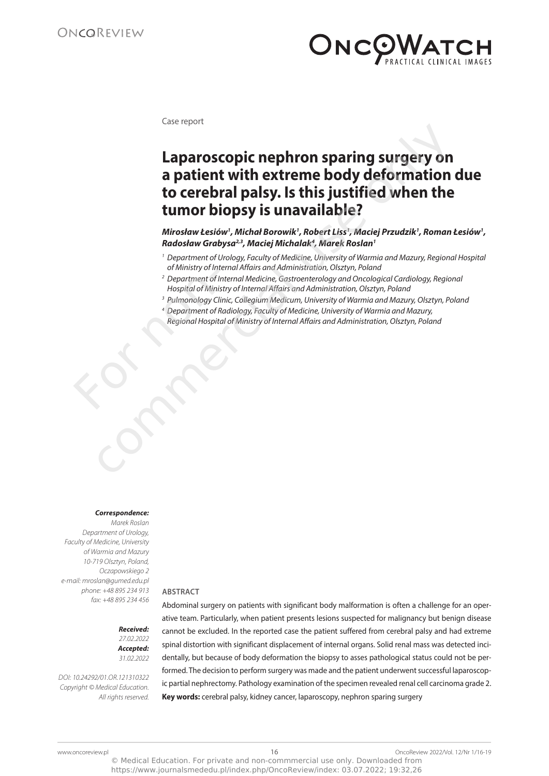

Case report

# **Laparoscopic nephron sparing surgery on a patient with extreme body deformation due to cerebral palsy. Is this justified when the tumor biopsy is unavailable?** Laparoscopic nephron sparing surgery on<br>a patient with extreme body deformation<br>to cerebral palsy. Is this justified when the<br>tumor biopsy is unavailable?<br>Mirosław testów<sup>,</sup> Michal Borowik', Robert Liss', Maciej Przudzik',

**Mirosław Łesiów<sup>1</sup> , Michał Borowik<sup>1</sup> , Robert Liss<sup>1</sup> , Maciej Przudzik<sup>1</sup> , Roman Łesiów<sup>1</sup> , Radosław Grabysa2,3, Maciej Michalak<sup>4</sup> , Marek Roslan<sup>1</sup>**

- 1 Department of Urology, Faculty of Medicine, University of Warmia and Mazury, Regional Hospital of Ministry of Internal Affairs and Administration, Olsztyn, Poland
- 2 Department of Internal Medicine, Gastroenterology and Oncological Cardiology, Regional Hospital of Ministry of Internal Affairs and Administration, Olsztyn, Poland Primissi y China.<br>
Pepartment of l<br>
Hospital of Mini.<br>
Pulmonology Cl<br>
A Department of l<br>
Regional Hospital<br>
Regional Hospital
	- <sup>3</sup> Pulmonology Clinic, Collegium Medicum, University of Warmia and Mazury, Olsztyn, Poland
	- 4 Department of Radiology, Faculty of Medicine, University of Warmia and Mazury, Regional Hospital of Ministry of Internal Affairs and Administration, Olsztyn, Poland

## **Correspondence:**

Marek Roslan Department of Urology, Faculty of Medicine, University of Warmia and Mazury 10-719 Olsztyn, Poland, Oczapowskiego 2 e-mail: mroslan@gumed.edu.pl phone: +48 895 234 913 fax: +48 895 234 456

**ABSTRACT** Abdominal surgery on patients with significant body malformation is often a challenge for an oper-

**Received:**  27.02.2022 **Accepted:**  31.02.2022

DOI: 10.24292/01.OR.121310322 Copyright © Medical Education. All rights reserved.

ative team. Particularly, when patient presents lesions suspected for malignancy but benign disease cannot be excluded. In the reported case the patient suffered from cerebral palsy and had extreme spinal distortion with significant displacement of internal organs. Solid renal mass was detected incidentally, but because of body deformation the biopsy to asses pathological status could not be performed. The decision to perform surgery was made and the patient underwent successful laparoscopic partial nephrectomy. Pathology examination of the specimen revealed renal cell carcinoma grade 2. **Key words:** cerebral palsy, kidney cancer, laparoscopy, nephron sparing surgery

https://www.journalsmededu.pl/index.php/OncoReview/index: 03.07.2022; 19:32,26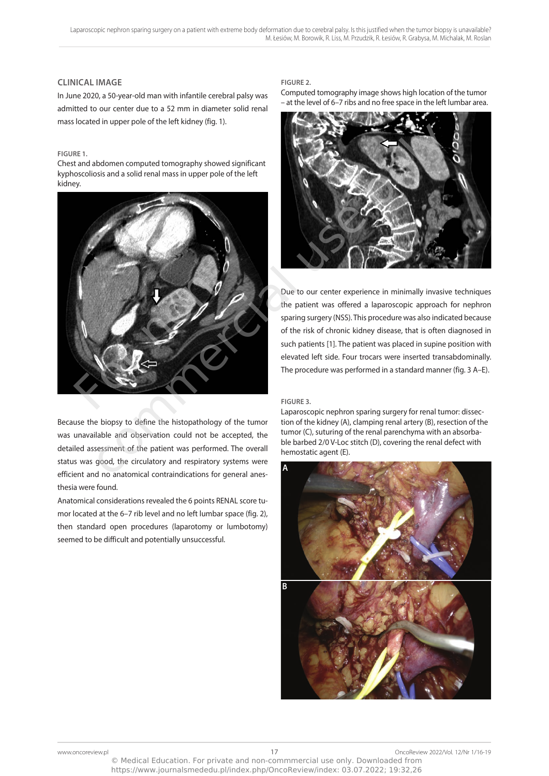# **CLINICAL IMAGE**

In June 2020, a 50-year-old man with infantile cerebral palsy was admitted to our center due to a 52 mm in diameter solid renal mass located in upper pole of the left kidney (fig. 1).

## **FIGURE 1.**

Chest and abdomen computed tomography showed significant kyphoscoliosis and a solid renal mass in upper pole of the left kidney.



Because the biopsy to define the histopathology of the tumor was unavailable and observation could not be accepted, the detailed assessment of the patient was performed. The overall status was good, the circulatory and respiratory systems were efficient and no anatomical contraindications for general anesthesia were found.

Anatomical considerations revealed the 6 points RENAL score tumor located at the 6–7 rib level and no left lumbar space (fig. 2), then standard open procedures (laparotomy or lumbotomy) seemed to be difficult and potentially unsuccessful.

## **FIGURE 2.**

Computed tomography image shows high location of the tumor – at the level of 6–7 ribs and no free space in the left lumbar area.



Due to our center experience in minimally invasive techniques the patient was offered a laparoscopic approach for nephron sparing surgery (NSS). This procedure was also indicated because of the risk of chronic kidney disease, that is often diagnosed in such patients [1]. The patient was placed in supine position with elevated left side. Four trocars were inserted transabdominally. The procedure was performed in a standard manner (fig. 3 A–E).

## **FIGURE 3.**

Laparoscopic nephron sparing surgery for renal tumor: dissection of the kidney (A), clamping renal artery (B), resection of the tumor (C), suturing of the renal parenchyma with an absorbable barbed 2/0 V-Loc stitch (D), covering the renal defect with hemostatic agent (E).

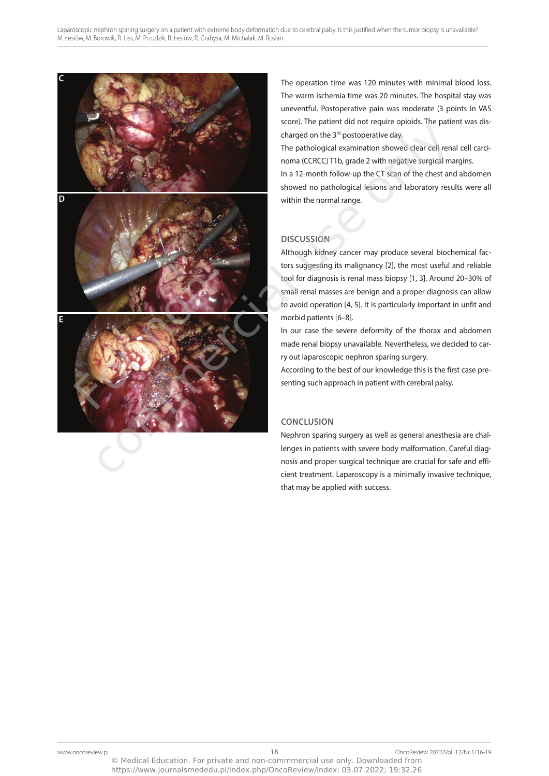

The operation time was 120 minutes with minimal blood loss. The warm ischemia time was 20 minutes. The hospital stay was uneventful. Postoperative pain was moderate (3 points in VAS score). The patient did not require opioids. The patient was discharged on the 3<sup>rd</sup> postoperative day.

The pathological examination showed clear cell renal cell carcinoma (CCRCC) T1b, grade 2 with negative surgical margins.

In a 12-month follow-up the CT scan of the chest and abdomen showed no pathological lesions and laboratory results were all within the normal range.

# **DISCUSSION**

Although kidney cancer may produce several biochemical factors suggesting its malignancy [2], the most useful and reliable tool for diagnosis is renal mass biopsy [1, 3]. Around 20–30% of small renal masses are benign and a proper diagnosis can allow to avoid operation [4, 5]. It is particularly important in unfit and morbid patients [6–8].

In our case the severe deformity of the thorax and abdomen made renal biopsy unavailable. Nevertheless, we decided to carry out laparoscopic nephron sparing surgery.

According to the best of our knowledge this is the first case presenting such approach in patient with cerebral palsy.

# **CONCLUSION**

Nephron sparing surgery as well as general anesthesia are challenges in patients with severe body malformation. Careful diagnosis and proper surgical technique are crucial for safe and efficient treatment. Laparoscopy is a minimally invasive technique, that may be applied with success.

https://www.journalsmededu.pl/index.php/OncoReview/index: 03.07.2022; 19:32,26